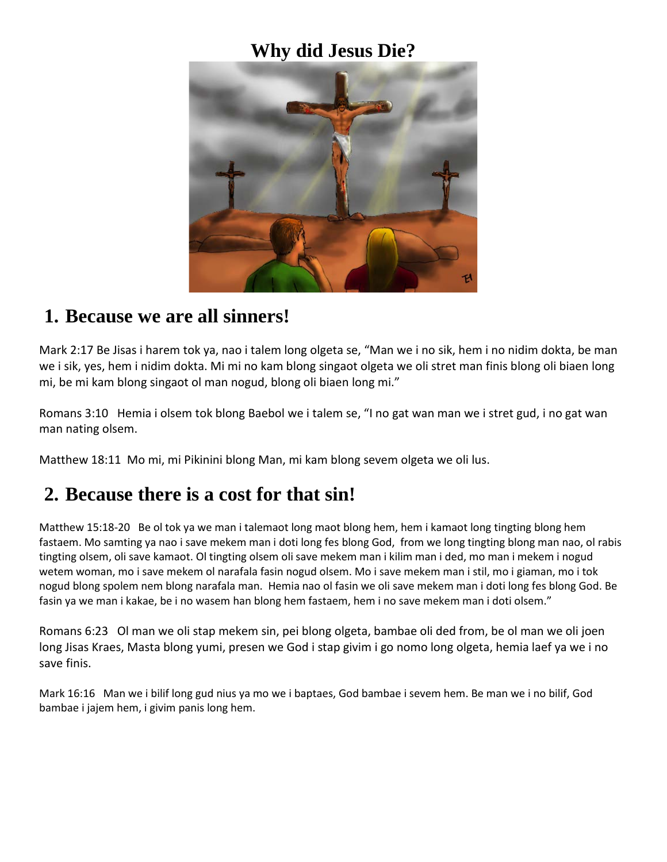### **Why did Jesus Die?**



#### **1. Because we are all sinners!**

Mark 2:17 Be Jisas i harem tok ya, nao i talem long olgeta se, "Man we i no sik, hem i no nidim dokta, be man we i sik, yes, hem i nidim dokta. Mi mi no kam blong singaot olgeta we oli stret man finis blong oli biaen long mi, be mi kam blong singaot ol man nogud, blong oli biaen long mi."

Romans 3:10 Hemia i olsem tok blong Baebol we i talem se, "I no gat wan man we i stret gud, i no gat wan man nating olsem.

Matthew 18:11 Mo mi, mi Pikinini blong Man, mi kam blong sevem olgeta we oli lus.

### **2. Because there is a cost for that sin!**

Matthew 15:18-20 Be ol tok ya we man i talemaot long maot blong hem, hem i kamaot long tingting blong hem fastaem. Mo samting ya nao i save mekem man i doti long fes blong God, from we long tingting blong man nao, ol rabis tingting olsem, oli save kamaot. Ol tingting olsem oli save mekem man i kilim man i ded, mo man i mekem i nogud wetem woman, mo i save mekem ol narafala fasin nogud olsem. Mo i save mekem man i stil, mo i giaman, mo i tok nogud blong spolem nem blong narafala man. Hemia nao ol fasin we oli save mekem man i doti long fes blong God. Be fasin ya we man i kakae, be i no wasem han blong hem fastaem, hem i no save mekem man i doti olsem."

Romans 6:23 Ol man we oli stap mekem sin, pei blong olgeta, bambae oli ded from, be ol man we oli joen long Jisas Kraes, Masta blong yumi, presen we God i stap givim i go nomo long olgeta, hemia laef ya we i no save finis.

Mark 16:16 Man we i bilif long gud nius ya mo we i baptaes, God bambae i sevem hem. Be man we i no bilif, God bambae i jajem hem, i givim panis long hem.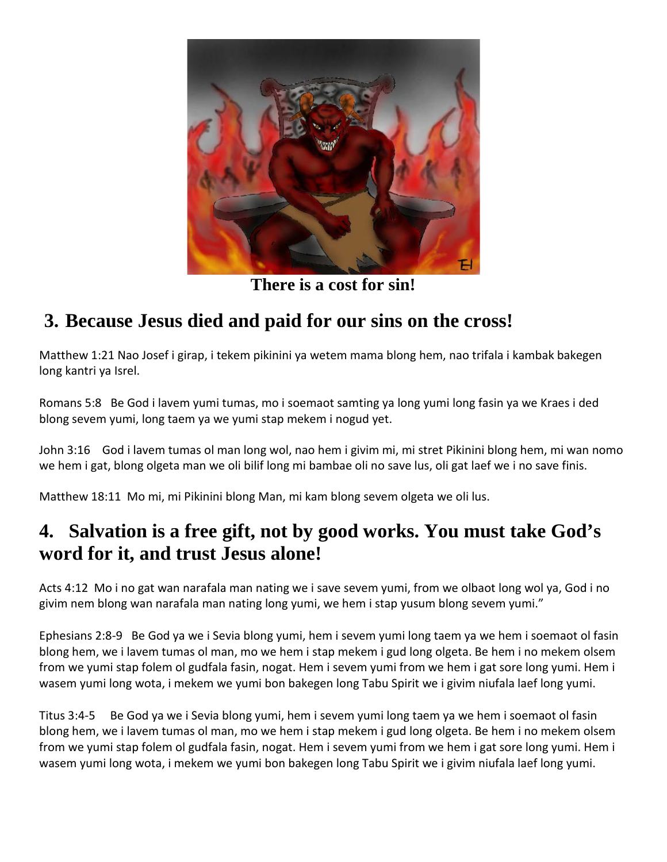

**There is a cost for sin!**

## **3. Because Jesus died and paid for our sins on the cross!**

Matthew 1:21 Nao Josef i girap, i tekem pikinini ya wetem mama blong hem, nao trifala i kambak bakegen long kantri ya Isrel.

Romans 5:8 Be God i lavem yumi tumas, mo i soemaot samting ya long yumi long fasin ya we Kraes i ded blong sevem yumi, long taem ya we yumi stap mekem i nogud yet.

John 3:16 God i lavem tumas ol man long wol, nao hem i givim mi, mi stret Pikinini blong hem, mi wan nomo we hem i gat, blong olgeta man we oli bilif long mi bambae oli no save lus, oli gat laef we i no save finis.

Matthew 18:11 Mo mi, mi Pikinini blong Man, mi kam blong sevem olgeta we oli lus.

### **4. Salvation is a free gift, not by good works. You must take God's word for it, and trust Jesus alone!**

Acts 4:12 Mo i no gat wan narafala man nating we i save sevem yumi, from we olbaot long wol ya, God i no givim nem blong wan narafala man nating long yumi, we hem i stap yusum blong sevem yumi."

Ephesians 2:8-9 Be God ya we i Sevia blong yumi, hem i sevem yumi long taem ya we hem i soemaot ol fasin blong hem, we i lavem tumas ol man, mo we hem i stap mekem i gud long olgeta. Be hem i no mekem olsem from we yumi stap folem ol gudfala fasin, nogat. Hem i sevem yumi from we hem i gat sore long yumi. Hem i wasem yumi long wota, i mekem we yumi bon bakegen long Tabu Spirit we i givim niufala laef long yumi.

Titus 3:4-5 Be God ya we i Sevia blong yumi, hem i sevem yumi long taem ya we hem i soemaot ol fasin blong hem, we i lavem tumas ol man, mo we hem i stap mekem i gud long olgeta. Be hem i no mekem olsem from we yumi stap folem ol gudfala fasin, nogat. Hem i sevem yumi from we hem i gat sore long yumi. Hem i wasem yumi long wota, i mekem we yumi bon bakegen long Tabu Spirit we i givim niufala laef long yumi.